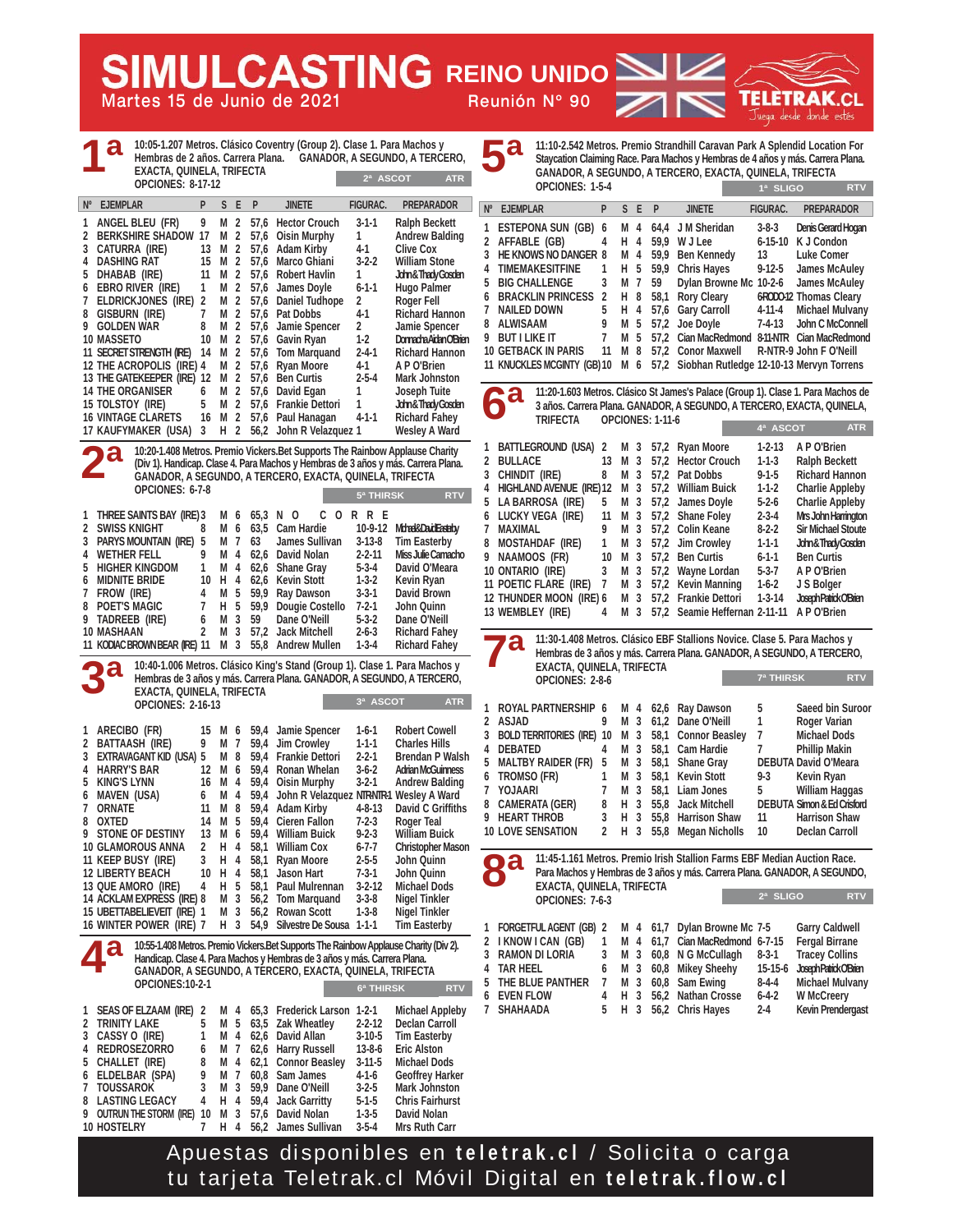**SIMULCASTING REINO UNIDO** 

**Martes 15 de Junio de 2021 Reunión Nº 90**

**TELETRAK** Juega desde donde estés **11:10-2.542 Metros. Premio Strandhill Caravan Park A Splendid Location For Staycation Claiming Race. Para Machos y Hembras de 4 años y más. Carrera Plana.**

**1ª SLIGO RTV**

**10:05-1.207 Metros. Clásico Coventry (Group 2). Clase 1. Para Machos y Hembras de 2 años. Carrera Plana. GANADOR, A SEGUNDO, A TERCERO, EXACTA, QUINELA, TRIFECTA OPCIONES: 8-17-12 1 ANGEL BLEU (FR) 9 M 2 57,6 Hector Crouch 3-1-1 Ralph Beckett**  2 BERKSHIRE SHADOW 17 M 2 57,6 Oisin Murphy 1 **3 CATURRA (IRE) 13 M 2 57,6 Adam Kirby 4-1 Clive Cox 4 DASHING RAT 15 M 2 57,6 Marco Ghiani 3-2-2 William Stone 5 DHABAB (IRE) 11 M 2 57,6 Robert Havlin 1 John & Thady Gosden 6 EBRO RIVER (IRE) 1 M 2 57,6 James Doyle 6-1-1 Hugo Palmer 7 ELDRICKJONES (IRE) 2 M 2 57,6 Daniel Tudhope 2 Roger Fell 87.6 Pat Dobbs 9 GOLDEN WAR 8 M 2 57,6 Jamie Spencer 2 Jamie Spencer 10 MASSETO 10 M 2 57,6 Gavin Ryan 1-2 Donnacha Aidan O'Brien 11 SECRET STRENGTH (IRE) 14 M 2 57,6 Tom Marquand 2-4-1 Richard Hannon 12 THE ACROPOLIS (IRE) 4 M 2 57,6 Ryan Moore 4-1 A P O'Brien 13 THE GATEKEEPER (IRE) 12 M 2 57,6 Ben Curtis 2-5-4<br>14 THE ORGANISER 6 M 2 57.6 David Fgan 1 14 THE ORGANISER 6 M 2 57,6 David Egan 1 Joseph Tuite 15 TOLSTOY (IRE) 5 M 2 57,6 Frankie Dettori 1 John & Thady Gosden 16 VINTAGE CLARETS 16 M 2 57,6 Paul Hanagan 4-1-1 Richard Fahey 17 Mart 2 56,2 John R Velazquez 1 10:20-1.408 Metros. Premio Vickers.Bet Supports The Rainbow Applause Charity (Div 1). Handicap. Clase 4. Para Machos y Hembras de 3 años y más. Carrera Plana. GANADOR, A SEGUNDO, A TERCERO, EXACTA, QUINELA, TRIFECTA OPCIONES: 6-7-8 1 THREE SAINTS BAY (IRE)3 M 6 65,3 N O CORRE 2 SWISS KNIGHT 8 M 6 63,5 Cam Hardie 10-9-12 Mbad&DaidEastdy**<br>3 PARYS MOUNTAIN (IRE) 5 M 7 63 James Sullivan 3-13-8 Tim Easterby **3 PARYS MOUNTAIN (IRE) 5 M 7 63 James Sullivan 3-13-8 Tim Easterby**  4 WETHER FELL 9 M 4 62,6 David Nolan 2-2-11 Miss Julie Camach<br>5 HIGHER KINGDOM 1 M 4 62,6 Shane Gray 5-3-4 David O'Meara **FIGHER KINGDOM 1 M 4 62,6 Shane Gray 5-3-4 David O'Mear-**<br>**MIDNITE BRIDE 10 H 4 62.6 Kevin Stott 1-3-2 Kevin Ryan 6 MIDNITE BRIDE 10 H 4 62,6 Kevin Stott 1-3-2 Kevin Ryan 7 FROW (IRE) 4 M 5 59,9 Ray Dawson 3-3-1 David Brown 8 POET'S MAGIC 7 H 5 59,9 Dougie Costello 7-2-1 John Quinn 9 TADREEB (IRE) 6 M 3 59 Dane O'Neill 5-3-2 Dane O'Neill 10 MASHAAN 2 M 3 57,2 Jack Mitchell 2-6-3 Richard Fahey 11 KODIAC BROWN BEAR (IRE) 11 M 3 55,8 Andrew Mullen 1-3-4 Richard Fahey 10:40-1.006 Metros. Clásico King's Stand (Group 1). Clase 1. Para Machos y Hembras de 3 años y más. Carrera Plana. GANADOR, A SEGUNDO, A TERCERO, EXACTA, QUINELA, TRIFECTA OPCIONES: 2-16-13 1 ARECIBO (FR) 15 M 6 59,4 Jamie Spencer 1-6-1 Robert Cowell 2 BATTAASH (IRE) 9 M 7 59,4 Jim Crowley 1-1-1 Charles Hills 3 EXTRAVAGANT KID (USA) 5 M 8 59,4 Frankie Dettori 2-2-1 Brendan P Walsh 4 HARRY'S BAR 12 M 6 59,4 Ronan Whelan 3-6-2 Adrian McGuinness 5 KING'S LYNN 16 M 4 59,4 Oisin Murphy 3-2-1 Andrew Balding 6 M** 4 59,4 John R Velazquez NTR-NTR-1<br>M 8 59,4 Adam Kirby 4-8-13 **7 ORNATE 11 M 8 59,4 Adam Kirby 4-8-13 David C Griffiths**  14 M 5 59,4 Cieren Fallon 7-2-3 Roger Teal<br>13 M 6 59,4 William Buick 9-2-3 William Bui **9 STONE OF DESTINY 13 M 6 59,4 William Buick 9-2-3 William Buick 10 GLAMOROUS ANNA 2 H 4 58.1 William Cox 6-7-7 11 KEEP BUSY (IRE) 3 H 4 58,1 Ryan Moore 2-5-5 John Quinn 12 LIBERTY BEACH 10 H 4 58,1 Jason Hart 7-3-1 John Quinn 13 QUE AMORO (IRE) 4 H 5 58,1 Paul Mulrennan 3-2-12 Michael Dods 14 ACKLAM EXPRESS (IRE) 8 M 3 56,2 Tom Marquand 3-3-8 Nigel Tinkler 15 UBETTABELIEVEIT (IRE) 1 M 3 56,2 Rowan Scott 1-3-8 Nigel Tinkler 16 WINTER POWER (IRE) 7 10:55-1.408 Metros. Premio Vickers.Bet Supports The Rainbow Applause Charity (Div 2). Handicap. Clase 4. Para Machos y Hembras de 3 años y más. Carrera Plana. GANADOR, A SEGUNDO, A TERCERO, EXACTA, QUINELA, TRIFECTA OPCIONES:10-2-1 1 SEAS OF ELZAAM (IRE) 2 M 4 65,3 Frederick Larson 1-2-1 Michael Appleby 2 TRINITY LAKE 5 M 5 63,5 Zak Wheatley 2-2-12 Declan Carroll**  3 CASSY O (IRF) 1 M 4 62.6 David Allan 3-10-5 **4 REDROSEZORRO 6 M 7 62,6 Harry Russell 13-8-6 Eric Alston 5 CHALLET (IRE) 8 M 4 62,1 Connor Beasley 3-11-5 Michael Dods 6 ELDELBAR (SPA) 9 M 7 60,8 Sam James 4-1-6 Geoffrey Harker 7 TOUSSAROK 3 M 3 59,9 Dane O'Neill 3-2-5 Mark Johnston B** LASTING LEGACY **GANADOR, A SEGUNDO, A TERCERO, EXACTA, QUINELA, TRIFECTA OPCIONES: 1-5-4 HE KNOWS NO DANGER 8 6 TROMSO (FR) Nº EJEMPLAR P S E P JINETE FIGURAC. PREPARADOR Nº EJEMPLAR P S E P JINETE FIGURAC. PREPARADOR 1ª 2ª 2ª ASCOT ATR**  $5<sup>a</sup>$  THIRSK **3ª ASCOT ATR 6ª THIRSK RTV 3ª 4ª 5ª 6ª 7ª 8ª**

**9 OUTRUN THE STORM (IRE) 10 M 3 57,6 David Nolan 1-3-5 David Nolan 10 HOSTELRY 7 H 4 56,2 James Sullivan 3-5-4 Mrs Ruth Carr**  **1 ESTEPONA SUN (GB) 6 M 4 64,4 J M Sheridan 3-8-3 Denis Gerard Hogan**  2 AFFABLE (GB) 4 H 4 59,9 W J Lee 6-15-10 K J Condon<br>3 HE KNOWS NO DANGER 8 M 4 59,9 Ben Kennedy 13 Luke Comer **4 TIMEMAKESITFINE 1 H 5 59,9 Chris Hayes 9-12-5 James McAuley 5 BIG CHALLENGE 3 M 7 59 Dylan Browne Mc 10-2-6 James McAuley 6 BRACKLIN PRINCESS 2 H 8 58,1 Rory Cleary 6-RODO-12 Thomas Cleary 7 NAILED DOWN 5 H 4 57,6 Gary Carroll 4-11-4 Michael Mulvany 8 M 5 57,2 Joe Doyle 9 BUT I LIKE IT 7 M 5 57,2 Cian MacRedmond 8-11-NTR Cian MacRedmond 10 GETBACK IN PARIS 11 M 8 57,2 Conor Maxwell R-NTR-9 John F O'Neill 11 KNUCKLES MCGINTY (GB)10 M 6 57,2 Siobhan Rutledge 12-10-13 Mervyn Torrens 11:20-1.603 Metros. Clásico St James's Palace (Group 1). Clase 1. Para Machos de 3 años. Carrera Plana. GANADOR, A SEGUNDO, A TERCERO, EXACTA, QUINELA, TRIFECTA OPCIONES: 1-11-6 1 BATTLEGROUND (USA) 2 M 3 57,2 Ryan Moore 1-2-13 A P O'Brien 2 BULLACE 13 M 3 57,2 Hector Crouch 1-1-3 Ralph Beckett 3 CHINDIT (IRE) 8 M 3 57,2 Pat Dobbs 9-1-5 Richard Hannon 4 HIGHLAND AVENUE (IRE)12 M 3 57,2 William Buick 1-1-2 Charlie Appleby M** 3 57,2 James Doyle **6 LUCKY VEGA (IRE) 11 M 3 57,2 Shane Foley 2-3-4 Mrs John Harrington 7 MAXIMAL 9 M 3 57,2 Colin Keane 8-2-2 Sir Michael Stoute**  8 MOSTAHDAF (IRE) 1 M 3 57,2 Jim Crowley 1-1-1<br>9 NAAMOOS (FR) 10 M 3 57,2 Ben Curtis 6-1-1 10 M 3 57,2 Ben Curtis 6-1-1 Ben Curtis **10 ONTARIO (IRE) 3 M 3 57,2 Wayne Lordan 5-3-7 A P O'Brien 11 POETIC FLARE (IRE) 7 M 3 57,2 Kevin Manning 1-6-2 J S Bolger 12 THUNDER MOON (IRE) 6 M 3 57,2 Frankie Dettori 1-3-14 Joseph Patrick O'Brien 13 WEMBLEY (IRE) 4 M 3 57,2 Seamie Heffernan 2-11-11 A P O'Brien 11:30-1.408 Metros. Clásico EBF Stallions Novice. Clase 5. Para Machos y Hembras de 3 años y más. Carrera Plana. GANADOR, A SEGUNDO, A TERCERO, EXACTA, QUINELA, TRIFECTA OPCIONES: 2-8-6 1 ROYAL PARTNERSHIP 6 M 4 62,6 Ray Dawson 5 Saeed bin Suroor 2 ASJAD 9 M 3 61,2 Dane O'Neill 1 Roger Varian 3 BOLD TERRITORIES (IRE) 10 M 3 58,1 Connor Beasley 7 Michael Dods 4 DEBATED 4 M 3 58,1 Cam Hardie 7 Phillip Makin 5 MALTBY RAIDER (FR) 5 M 3 58,1 Shane Gray DEBUTA David O'Meara 7 YOJAARI 7 M 3 58,1 Liam Jones 5 William Haggas 8 CAMERATA (GER) 8 H 3 55,8 Jack Mitchell DEBUTA Simon & Ed Crisford 9 HEART THROB 3 H 3 55,8 Harrison Shaw 11 Harrison Shaw**  2 H 3 55,8 Megan Nicholls 10 Declan Carroll **11:45-1.161 Metros. Premio Irish Stallion Farms EBF Median Auction Race. Para Machos y Hembras de 3 años y más. Carrera Plana. GANADOR, A SEGUNDO, EXACTA, QUINELA, TRIFECTA OPCIONES: 7-6-3 1 FORGETFULAGENT (GB) 2 M 4 61,7 Dylan Browne Mc 7-5 Garry Caldwell 2 I KNOW I CAN (GB)** 1 M 4 61,7 Cian MacRedmond 6-7-15 **RAMON DI LORIA** 3 M 3 60.8 N G McCullagh **4ª ASCOT ATR 7ª THIRSK RTV 2ª SLIGO RTV**

**3 RAMON DI LORIA 3 M 3 60,8 N G McCullagh 8-3-1 Tracey Collins 4 TAR HEEL 6 M 3 60,8 Mikey Sheehy 15-15-6 Joseph Patrick O'Brien**  5 THE BLUE PANTHER 7 M 3 60,8 Sam Ewing 84-4 Michael Mulvan 6 EVEN FLOW 4 H 3 56,2 Nathan Crosse 6-4-2 W McCreery **6 EVEN FLOW 4 H 3 56,2 Nathan Crosse 6-4-2 W McCreery 5** H 3 56,2 Chris Hayes 2-4

Apuestas disponibles en **teletrak.cl** / Solicita o carga tu tarjeta Teletrak.cl Móvil Digital en **teletrak.flow.cl**